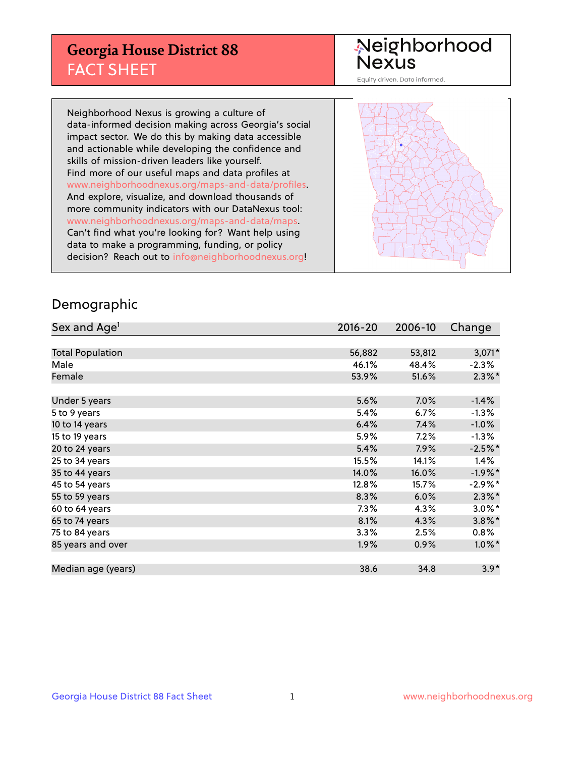## **Georgia House District 88** FACT SHEET

# Neighborhood<br>Nexus

Equity driven. Data informed.

Neighborhood Nexus is growing a culture of data-informed decision making across Georgia's social impact sector. We do this by making data accessible and actionable while developing the confidence and skills of mission-driven leaders like yourself. Find more of our useful maps and data profiles at www.neighborhoodnexus.org/maps-and-data/profiles. And explore, visualize, and download thousands of more community indicators with our DataNexus tool: www.neighborhoodnexus.org/maps-and-data/maps. Can't find what you're looking for? Want help using data to make a programming, funding, or policy decision? Reach out to [info@neighborhoodnexus.org!](mailto:info@neighborhoodnexus.org)



### Demographic

| Sex and Age <sup>1</sup> | $2016 - 20$ | 2006-10 | Change    |
|--------------------------|-------------|---------|-----------|
|                          |             |         |           |
| <b>Total Population</b>  | 56,882      | 53,812  | $3,071*$  |
| Male                     | 46.1%       | 48.4%   | $-2.3%$   |
| Female                   | 53.9%       | 51.6%   | $2.3\%$ * |
|                          |             |         |           |
| Under 5 years            | 5.6%        | 7.0%    | $-1.4%$   |
| 5 to 9 years             | 5.4%        | 6.7%    | $-1.3%$   |
| 10 to 14 years           | 6.4%        | 7.4%    | $-1.0%$   |
| 15 to 19 years           | 5.9%        | 7.2%    | $-1.3%$   |
| 20 to 24 years           | 5.4%        | 7.9%    | $-2.5%$ * |
| 25 to 34 years           | 15.5%       | 14.1%   | 1.4%      |
| 35 to 44 years           | 14.0%       | 16.0%   | $-1.9%$ * |
| 45 to 54 years           | 12.8%       | 15.7%   | $-2.9%$ * |
| 55 to 59 years           | 8.3%        | 6.0%    | $2.3\%$ * |
| 60 to 64 years           | 7.3%        | 4.3%    | $3.0\%$ * |
| 65 to 74 years           | 8.1%        | 4.3%    | $3.8\%$ * |
| 75 to 84 years           | 3.3%        | 2.5%    | $0.8\%$   |
| 85 years and over        | 1.9%        | 0.9%    | $1.0\%$ * |
|                          |             |         |           |
| Median age (years)       | 38.6        | 34.8    | $3.9*$    |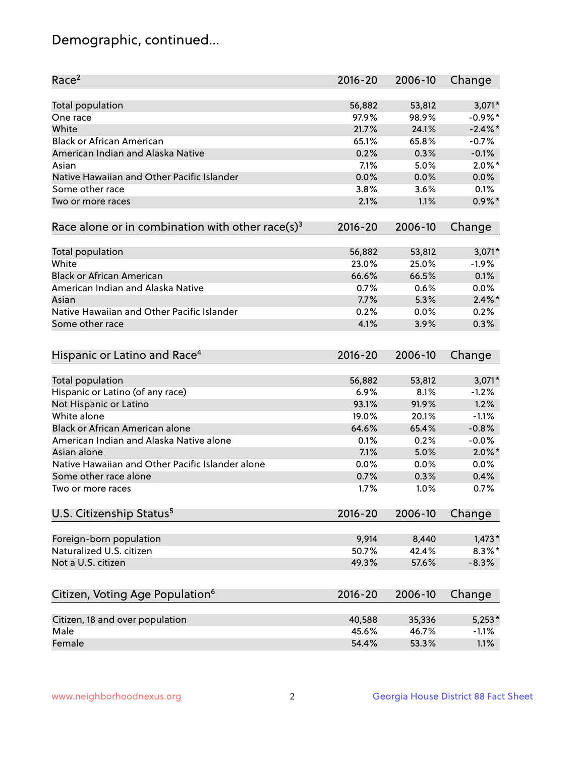## Demographic, continued...

| Race <sup>2</sup>                                            | $2016 - 20$ | 2006-10 | Change    |
|--------------------------------------------------------------|-------------|---------|-----------|
| <b>Total population</b>                                      | 56,882      | 53,812  | $3,071*$  |
| One race                                                     | 97.9%       | 98.9%   | $-0.9%$ * |
| White                                                        | 21.7%       | 24.1%   | $-2.4\%$  |
| <b>Black or African American</b>                             | 65.1%       | 65.8%   | $-0.7%$   |
| American Indian and Alaska Native                            | 0.2%        | 0.3%    | $-0.1%$   |
| Asian                                                        | 7.1%        | 5.0%    | $2.0\%$ * |
| Native Hawaiian and Other Pacific Islander                   | 0.0%        | 0.0%    | 0.0%      |
| Some other race                                              | 3.8%        | 3.6%    | 0.1%      |
| Two or more races                                            | 2.1%        | 1.1%    | $0.9\%$ * |
| Race alone or in combination with other race(s) <sup>3</sup> | $2016 - 20$ | 2006-10 | Change    |
| <b>Total population</b>                                      | 56,882      | 53,812  | $3,071*$  |
| White                                                        | 23.0%       | 25.0%   | $-1.9%$   |
| <b>Black or African American</b>                             | 66.6%       | 66.5%   | 0.1%      |
| American Indian and Alaska Native                            | 0.7%        | 0.6%    | 0.0%      |
| Asian                                                        | 7.7%        | 5.3%    | $2.4\%$ * |
| Native Hawaiian and Other Pacific Islander                   | 0.2%        | 0.0%    | 0.2%      |
| Some other race                                              | 4.1%        | 3.9%    | 0.3%      |
|                                                              |             |         |           |
| Hispanic or Latino and Race <sup>4</sup>                     | $2016 - 20$ | 2006-10 | Change    |
| <b>Total population</b>                                      | 56,882      | 53,812  | $3,071*$  |
| Hispanic or Latino (of any race)                             | 6.9%        | 8.1%    | $-1.2%$   |
| Not Hispanic or Latino                                       | 93.1%       | 91.9%   | 1.2%      |
| White alone                                                  | 19.0%       | 20.1%   | $-1.1%$   |
| Black or African American alone                              | 64.6%       | 65.4%   | $-0.8%$   |
| American Indian and Alaska Native alone                      | 0.1%        | 0.2%    | $-0.0%$   |
| Asian alone                                                  | 7.1%        | 5.0%    | $2.0\%$ * |
| Native Hawaiian and Other Pacific Islander alone             | 0.0%        | 0.0%    | 0.0%      |
| Some other race alone                                        | 0.7%        | 0.3%    | 0.4%      |
| Two or more races                                            | 1.7%        | 1.0%    | 0.7%      |
| U.S. Citizenship Status <sup>5</sup>                         | 2016-20     | 2006-10 | Change    |
|                                                              |             |         |           |
| Foreign-born population                                      | 9,914       | 8,440   | $1,473*$  |
| Naturalized U.S. citizen                                     | 50.7%       | 42.4%   | $8.3\%$ * |
| Not a U.S. citizen                                           | 49.3%       | 57.6%   | $-8.3%$   |
| Citizen, Voting Age Population <sup>6</sup>                  | 2016-20     | 2006-10 | Change    |
|                                                              |             |         |           |
| Citizen, 18 and over population                              | 40,588      | 35,336  | $5,253*$  |
| Male                                                         | 45.6%       | 46.7%   | $-1.1%$   |
| Female                                                       | 54.4%       | 53.3%   | 1.1%      |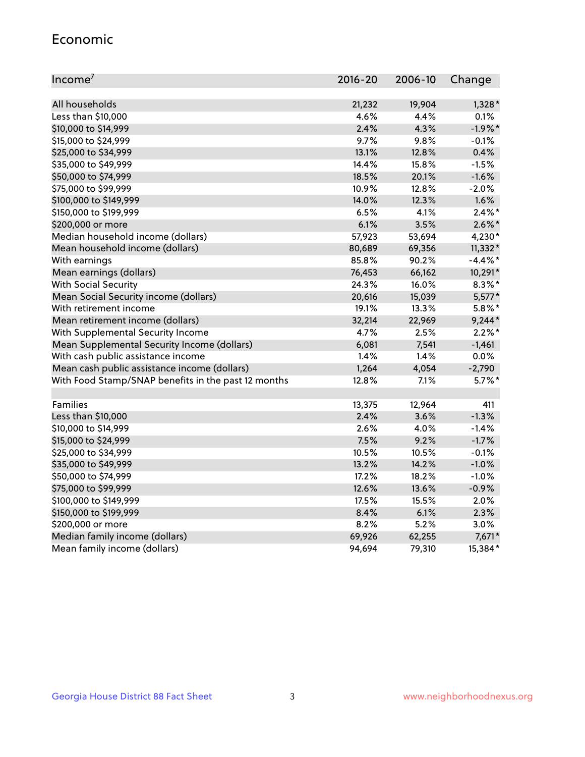#### Economic

| Income <sup>7</sup>                                 | $2016 - 20$ | 2006-10 | Change     |
|-----------------------------------------------------|-------------|---------|------------|
|                                                     |             |         |            |
| All households                                      | 21,232      | 19,904  | $1,328*$   |
| Less than \$10,000                                  | 4.6%        | 4.4%    | 0.1%       |
| \$10,000 to \$14,999                                | 2.4%        | 4.3%    | $-1.9%$ *  |
| \$15,000 to \$24,999                                | 9.7%        | 9.8%    | $-0.1%$    |
| \$25,000 to \$34,999                                | 13.1%       | 12.8%   | 0.4%       |
| \$35,000 to \$49,999                                | 14.4%       | 15.8%   | $-1.5%$    |
| \$50,000 to \$74,999                                | 18.5%       | 20.1%   | $-1.6%$    |
| \$75,000 to \$99,999                                | 10.9%       | 12.8%   | $-2.0%$    |
| \$100,000 to \$149,999                              | 14.0%       | 12.3%   | 1.6%       |
| \$150,000 to \$199,999                              | 6.5%        | 4.1%    | $2.4\%$ *  |
| \$200,000 or more                                   | 6.1%        | 3.5%    | $2.6\%$ *  |
| Median household income (dollars)                   | 57,923      | 53,694  | 4,230*     |
| Mean household income (dollars)                     | 80,689      | 69,356  | $11,332*$  |
| With earnings                                       | 85.8%       | 90.2%   | $-4.4\%$ * |
| Mean earnings (dollars)                             | 76,453      | 66,162  | 10,291*    |
| <b>With Social Security</b>                         | 24.3%       | 16.0%   | $8.3\%$ *  |
| Mean Social Security income (dollars)               | 20,616      | 15,039  | $5,577*$   |
| With retirement income                              | 19.1%       | 13.3%   | $5.8\%$ *  |
| Mean retirement income (dollars)                    | 32,214      | 22,969  | $9,244*$   |
| With Supplemental Security Income                   | 4.7%        | 2.5%    | $2.2\%$ *  |
| Mean Supplemental Security Income (dollars)         | 6,081       | 7,541   | $-1,461$   |
| With cash public assistance income                  | 1.4%        | 1.4%    | 0.0%       |
| Mean cash public assistance income (dollars)        | 1,264       | 4,054   | $-2,790$   |
| With Food Stamp/SNAP benefits in the past 12 months | 12.8%       | 7.1%    | $5.7\%$ *  |
|                                                     |             |         |            |
| Families                                            | 13,375      | 12,964  | 411        |
| Less than \$10,000                                  | 2.4%        | 3.6%    | $-1.3%$    |
| \$10,000 to \$14,999                                | 2.6%        | 4.0%    | $-1.4%$    |
| \$15,000 to \$24,999                                | 7.5%        | 9.2%    | $-1.7%$    |
| \$25,000 to \$34,999                                | 10.5%       | 10.5%   | $-0.1%$    |
| \$35,000 to \$49,999                                | 13.2%       | 14.2%   | $-1.0%$    |
| \$50,000 to \$74,999                                | 17.2%       | 18.2%   | $-1.0%$    |
| \$75,000 to \$99,999                                | 12.6%       | 13.6%   | $-0.9%$    |
| \$100,000 to \$149,999                              | 17.5%       | 15.5%   | 2.0%       |
| \$150,000 to \$199,999                              | 8.4%        | 6.1%    | 2.3%       |
| \$200,000 or more                                   | 8.2%        | 5.2%    | 3.0%       |
| Median family income (dollars)                      | 69,926      | 62,255  | $7,671*$   |
| Mean family income (dollars)                        | 94,694      | 79,310  | 15,384*    |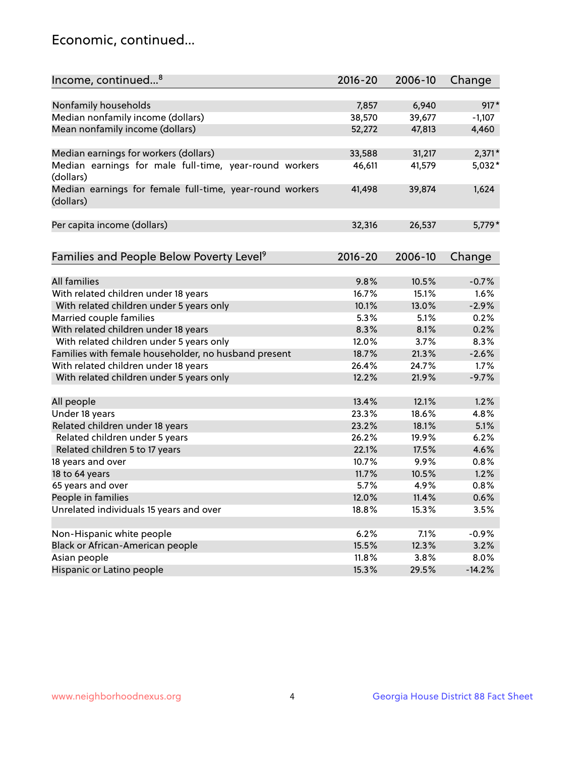## Economic, continued...

| Income, continued <sup>8</sup>                           | $2016 - 20$ | 2006-10 | Change   |
|----------------------------------------------------------|-------------|---------|----------|
|                                                          |             |         |          |
| Nonfamily households                                     | 7,857       | 6,940   | $917*$   |
| Median nonfamily income (dollars)                        | 38,570      | 39,677  | $-1,107$ |
| Mean nonfamily income (dollars)                          | 52,272      | 47,813  | 4,460    |
|                                                          |             |         |          |
| Median earnings for workers (dollars)                    | 33,588      | 31,217  | $2,371*$ |
| Median earnings for male full-time, year-round workers   | 46,611      | 41,579  | $5,032*$ |
| (dollars)                                                |             |         |          |
| Median earnings for female full-time, year-round workers | 41,498      | 39,874  | 1,624    |
| (dollars)                                                |             |         |          |
|                                                          |             |         |          |
| Per capita income (dollars)                              | 32,316      | 26,537  | 5,779*   |
|                                                          |             |         |          |
|                                                          | $2016 - 20$ | 2006-10 |          |
| Families and People Below Poverty Level <sup>9</sup>     |             |         | Change   |
| <b>All families</b>                                      | 9.8%        | 10.5%   | $-0.7%$  |
|                                                          |             |         |          |
| With related children under 18 years                     | 16.7%       | 15.1%   | 1.6%     |
| With related children under 5 years only                 | 10.1%       | 13.0%   | $-2.9%$  |
| Married couple families                                  | 5.3%        | 5.1%    | 0.2%     |
| With related children under 18 years                     | 8.3%        | 8.1%    | 0.2%     |
| With related children under 5 years only                 | 12.0%       | 3.7%    | 8.3%     |
| Families with female householder, no husband present     | 18.7%       | 21.3%   | $-2.6%$  |
| With related children under 18 years                     | 26.4%       | 24.7%   | 1.7%     |
| With related children under 5 years only                 | 12.2%       | 21.9%   | $-9.7%$  |
|                                                          |             |         |          |
| All people                                               | 13.4%       | 12.1%   | 1.2%     |
| Under 18 years                                           | 23.3%       | 18.6%   | 4.8%     |
| Related children under 18 years                          | 23.2%       | 18.1%   | 5.1%     |
| Related children under 5 years                           | 26.2%       | 19.9%   | 6.2%     |
| Related children 5 to 17 years                           | 22.1%       | 17.5%   | 4.6%     |
| 18 years and over                                        | 10.7%       | 9.9%    | 0.8%     |
| 18 to 64 years                                           | 11.7%       | 10.5%   | 1.2%     |
| 65 years and over                                        | 5.7%        | 4.9%    | 0.8%     |
| People in families                                       | 12.0%       | 11.4%   | 0.6%     |
| Unrelated individuals 15 years and over                  | 18.8%       | 15.3%   | 3.5%     |
|                                                          |             |         |          |
| Non-Hispanic white people                                | 6.2%        | 7.1%    | $-0.9%$  |
| Black or African-American people                         | 15.5%       | 12.3%   | 3.2%     |
| Asian people                                             | 11.8%       | 3.8%    | 8.0%     |
| Hispanic or Latino people                                | 15.3%       | 29.5%   | $-14.2%$ |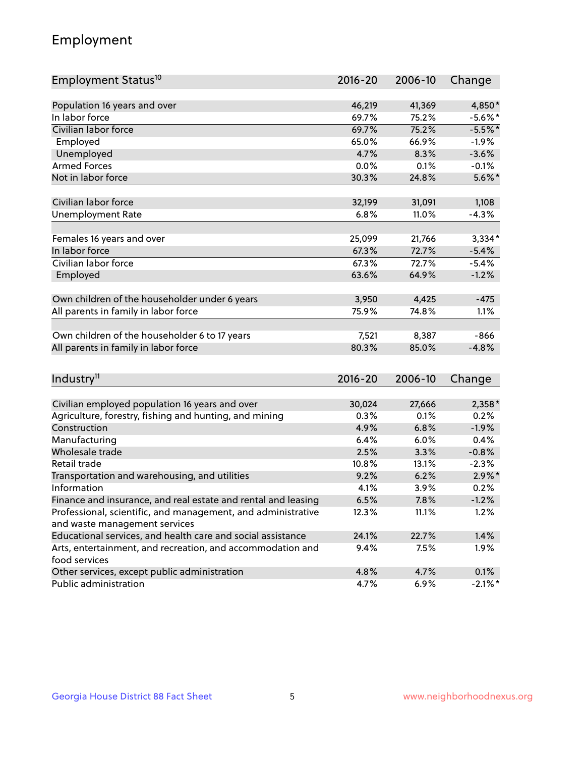## Employment

| Employment Status <sup>10</sup>                                             | $2016 - 20$ | 2006-10 | Change     |
|-----------------------------------------------------------------------------|-------------|---------|------------|
|                                                                             |             |         |            |
| Population 16 years and over                                                | 46,219      | 41,369  | 4,850*     |
| In labor force                                                              | 69.7%       | 75.2%   | $-5.6\%$ * |
| Civilian labor force                                                        | 69.7%       | 75.2%   | $-5.5%$ *  |
| Employed                                                                    | 65.0%       | 66.9%   | $-1.9%$    |
| Unemployed                                                                  | 4.7%        | 8.3%    | $-3.6%$    |
| <b>Armed Forces</b>                                                         | 0.0%        | 0.1%    | $-0.1%$    |
| Not in labor force                                                          | 30.3%       | 24.8%   | $5.6\%$ *  |
| Civilian labor force                                                        | 32,199      | 31,091  | 1,108      |
| <b>Unemployment Rate</b>                                                    | 6.8%        | 11.0%   | $-4.3%$    |
|                                                                             |             |         |            |
| Females 16 years and over                                                   | 25,099      | 21,766  | $3,334*$   |
| In labor force                                                              | 67.3%       | 72.7%   | $-5.4%$    |
| Civilian labor force                                                        | 67.3%       | 72.7%   | $-5.4%$    |
| Employed                                                                    | 63.6%       | 64.9%   | $-1.2%$    |
| Own children of the householder under 6 years                               | 3,950       | 4,425   | $-475$     |
|                                                                             | 75.9%       | 74.8%   | 1.1%       |
| All parents in family in labor force                                        |             |         |            |
| Own children of the householder 6 to 17 years                               | 7,521       | 8,387   | -866       |
| All parents in family in labor force                                        | 80.3%       | 85.0%   | $-4.8%$    |
|                                                                             |             |         |            |
| Industry <sup>11</sup>                                                      | $2016 - 20$ | 2006-10 | Change     |
|                                                                             |             |         |            |
| Civilian employed population 16 years and over                              | 30,024      | 27,666  | 2,358*     |
| Agriculture, forestry, fishing and hunting, and mining                      | 0.3%        | 0.1%    | 0.2%       |
| Construction                                                                | 4.9%        | 6.8%    | $-1.9%$    |
| Manufacturing                                                               | 6.4%        | 6.0%    | 0.4%       |
| Wholesale trade                                                             | 2.5%        | 3.3%    | $-0.8%$    |
| Retail trade                                                                | 10.8%       | 13.1%   | $-2.3%$    |
| Transportation and warehousing, and utilities                               | 9.2%        | 6.2%    | $2.9\%$ *  |
| Information                                                                 | 4.1%        | 3.9%    | 0.2%       |
| Finance and insurance, and real estate and rental and leasing               | 6.5%        | 7.8%    | $-1.2%$    |
| Professional, scientific, and management, and administrative                | 12.3%       | 11.1%   | 1.2%       |
| and waste management services                                               |             |         |            |
| Educational services, and health care and social assistance                 | 24.1%       | 22.7%   | 1.4%       |
| Arts, entertainment, and recreation, and accommodation and<br>food services | 9.4%        | 7.5%    | $1.9\%$    |
| Other services, except public administration                                | 4.8%        | 4.7%    | 0.1%       |
| Public administration                                                       | 4.7%        | 6.9%    | $-2.1\%$ * |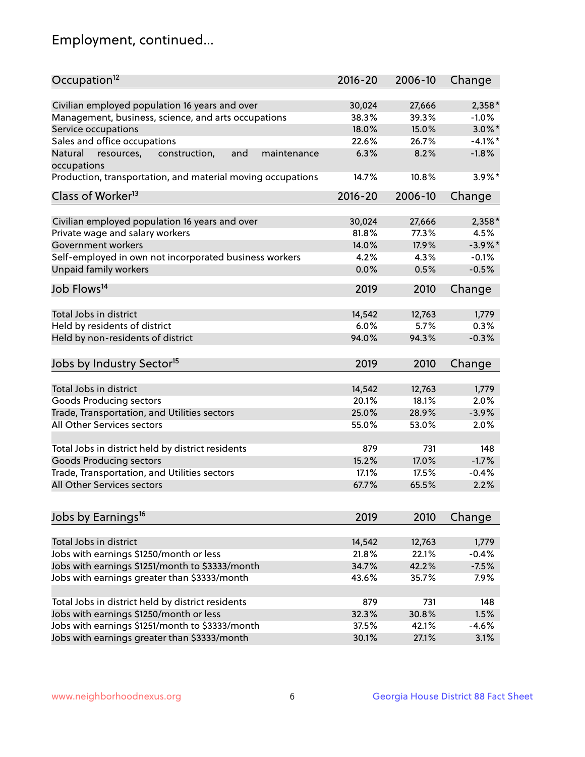## Employment, continued...

| Occupation <sup>12</sup>                                     | $2016 - 20$ | 2006-10 | Change     |
|--------------------------------------------------------------|-------------|---------|------------|
| Civilian employed population 16 years and over               | 30,024      | 27,666  | 2,358*     |
| Management, business, science, and arts occupations          | 38.3%       | 39.3%   | $-1.0%$    |
| Service occupations                                          | 18.0%       | 15.0%   | $3.0\%$ *  |
| Sales and office occupations                                 | 22.6%       | 26.7%   | $-4.1%$ *  |
| Natural<br>and<br>resources,<br>construction,<br>maintenance | 6.3%        | 8.2%    | $-1.8%$    |
| occupations                                                  |             |         |            |
| Production, transportation, and material moving occupations  | 14.7%       | 10.8%   | $3.9\%$ *  |
| Class of Worker <sup>13</sup>                                | $2016 - 20$ | 2006-10 | Change     |
| Civilian employed population 16 years and over               | 30,024      | 27,666  | 2,358*     |
| Private wage and salary workers                              | 81.8%       | 77.3%   | 4.5%       |
| Government workers                                           | 14.0%       | 17.9%   | $-3.9\%$ * |
| Self-employed in own not incorporated business workers       | 4.2%        | 4.3%    | $-0.1%$    |
|                                                              | 0.0%        | 0.5%    | $-0.5%$    |
| Unpaid family workers                                        |             |         |            |
| Job Flows <sup>14</sup>                                      | 2019        | 2010    | Change     |
| Total Jobs in district                                       | 14,542      | 12,763  | 1,779      |
| Held by residents of district                                | 6.0%        | 5.7%    | 0.3%       |
| Held by non-residents of district                            | 94.0%       | 94.3%   | $-0.3%$    |
|                                                              |             |         |            |
| Jobs by Industry Sector <sup>15</sup>                        | 2019        | 2010    | Change     |
| Total Jobs in district                                       | 14,542      | 12,763  | 1,779      |
| Goods Producing sectors                                      | 20.1%       | 18.1%   | 2.0%       |
| Trade, Transportation, and Utilities sectors                 | 25.0%       | 28.9%   | $-3.9%$    |
| All Other Services sectors                                   | 55.0%       | 53.0%   | 2.0%       |
|                                                              |             |         |            |
| Total Jobs in district held by district residents            | 879         | 731     | 148        |
| <b>Goods Producing sectors</b>                               | 15.2%       | 17.0%   | $-1.7%$    |
| Trade, Transportation, and Utilities sectors                 | 17.1%       | 17.5%   | $-0.4%$    |
| All Other Services sectors                                   | 67.7%       | 65.5%   | 2.2%       |
|                                                              |             |         |            |
| Jobs by Earnings <sup>16</sup>                               | 2019        | 2010    | Change     |
| Total Jobs in district                                       | 14,542      | 12,763  | 1,779      |
| Jobs with earnings \$1250/month or less                      | 21.8%       | 22.1%   | $-0.4%$    |
| Jobs with earnings \$1251/month to \$3333/month              | 34.7%       | 42.2%   | $-7.5%$    |
| Jobs with earnings greater than \$3333/month                 | 43.6%       | 35.7%   | 7.9%       |
|                                                              |             |         |            |
| Total Jobs in district held by district residents            | 879         | 731     | 148        |
| Jobs with earnings \$1250/month or less                      | 32.3%       | 30.8%   | 1.5%       |
| Jobs with earnings \$1251/month to \$3333/month              | 37.5%       | 42.1%   | $-4.6%$    |
| Jobs with earnings greater than \$3333/month                 | 30.1%       | 27.1%   | 3.1%       |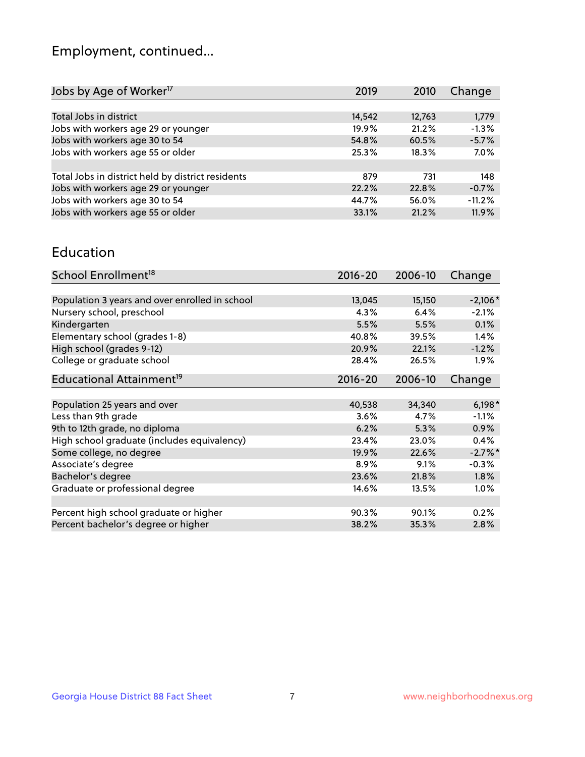## Employment, continued...

| 2019   | 2010   | Change   |
|--------|--------|----------|
|        |        |          |
| 14,542 | 12,763 | 1,779    |
| 19.9%  | 21.2%  | $-1.3%$  |
| 54.8%  | 60.5%  | $-5.7%$  |
| 25.3%  | 18.3%  | $7.0\%$  |
|        |        |          |
| 879    | 731    | 148      |
| 22.2%  | 22.8%  | $-0.7%$  |
| 44.7%  | 56.0%  | $-11.2%$ |
| 33.1%  | 21.2%  | 11.9%    |
|        |        |          |

#### Education

| School Enrollment <sup>18</sup>                | $2016 - 20$ | 2006-10  | Change     |
|------------------------------------------------|-------------|----------|------------|
|                                                |             |          |            |
| Population 3 years and over enrolled in school | 13,045      | 15,150   | $-2,106*$  |
| Nursery school, preschool                      | 4.3%        | 6.4%     | $-2.1%$    |
| Kindergarten                                   | 5.5%        | 5.5%     | 0.1%       |
| Elementary school (grades 1-8)                 | 40.8%       | 39.5%    | $1.4\%$    |
| High school (grades 9-12)                      | 20.9%       | 22.1%    | $-1.2%$    |
| College or graduate school                     | 28.4%       | 26.5%    | $1.9\%$    |
| Educational Attainment <sup>19</sup>           | $2016 - 20$ | 2006-10  | Change     |
|                                                |             |          |            |
| Population 25 years and over                   | 40,538      | 34,340   | $6,198*$   |
| Less than 9th grade                            | 3.6%        | 4.7%     | $-1.1%$    |
| 9th to 12th grade, no diploma                  | 6.2%        | 5.3%     | $0.9\%$    |
| High school graduate (includes equivalency)    | 23.4%       | 23.0%    | 0.4%       |
| Some college, no degree                        | 19.9%       | 22.6%    | $-2.7\%$ * |
| Associate's degree                             | 8.9%        | 9.1%     | $-0.3%$    |
| Bachelor's degree                              | 23.6%       | 21.8%    | $1.8\%$    |
| Graduate or professional degree                | 14.6%       | $13.5\%$ | $1.0\%$    |
|                                                |             |          |            |
| Percent high school graduate or higher         | 90.3%       | 90.1%    | 0.2%       |
| Percent bachelor's degree or higher            | 38.2%       | 35.3%    | 2.8%       |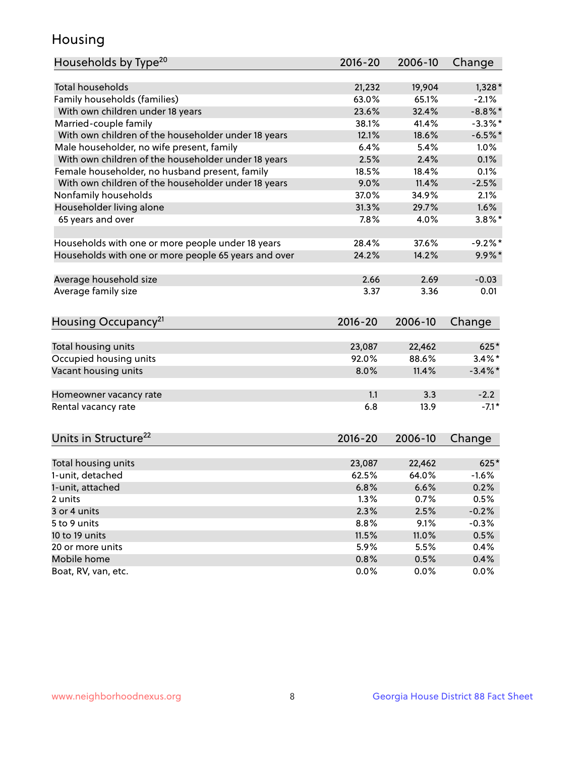## Housing

| Households by Type <sup>20</sup>                     | 2016-20     | 2006-10 | Change     |
|------------------------------------------------------|-------------|---------|------------|
|                                                      |             |         |            |
| <b>Total households</b>                              | 21,232      | 19,904  | $1,328*$   |
| Family households (families)                         | 63.0%       | 65.1%   | $-2.1%$    |
| With own children under 18 years                     | 23.6%       | 32.4%   | $-8.8\%$ * |
| Married-couple family                                | 38.1%       | 41.4%   | $-3.3\%$ * |
| With own children of the householder under 18 years  | 12.1%       | 18.6%   | $-6.5%$ *  |
| Male householder, no wife present, family            | 6.4%        | 5.4%    | 1.0%       |
| With own children of the householder under 18 years  | 2.5%        | 2.4%    | 0.1%       |
| Female householder, no husband present, family       | 18.5%       | 18.4%   | 0.1%       |
| With own children of the householder under 18 years  | 9.0%        | 11.4%   | $-2.5%$    |
| Nonfamily households                                 | 37.0%       | 34.9%   | 2.1%       |
| Householder living alone                             | 31.3%       | 29.7%   | 1.6%       |
| 65 years and over                                    | 7.8%        | 4.0%    | $3.8\%$ *  |
|                                                      |             |         |            |
| Households with one or more people under 18 years    | 28.4%       | 37.6%   | $-9.2%$ *  |
| Households with one or more people 65 years and over | 24.2%       | 14.2%   | $9.9\%$ *  |
| Average household size                               | 2.66        | 2.69    | $-0.03$    |
| Average family size                                  | 3.37        | 3.36    | 0.01       |
|                                                      |             |         |            |
| Housing Occupancy <sup>21</sup>                      | $2016 - 20$ | 2006-10 | Change     |
| Total housing units                                  | 23,087      | 22,462  | 625*       |
| Occupied housing units                               | 92.0%       | 88.6%   | $3.4\%$ *  |
| Vacant housing units                                 | 8.0%        | 11.4%   | $-3.4\%$ * |
|                                                      |             |         |            |
| Homeowner vacancy rate                               | 1.1         | 3.3     | $-2.2$     |
| Rental vacancy rate                                  | 6.8         | 13.9    | $-7.1*$    |
|                                                      |             |         |            |
| Units in Structure <sup>22</sup>                     | $2016 - 20$ | 2006-10 | Change     |
|                                                      |             |         | 625*       |
| Total housing units                                  | 23,087      | 22,462  |            |
| 1-unit, detached                                     | 62.5%       | 64.0%   | $-1.6%$    |
| 1-unit, attached                                     | 6.8%        | 6.6%    | 0.2%       |
| 2 units                                              | 1.3%        | 0.7%    | 0.5%       |
| 3 or 4 units                                         | 2.3%        | 2.5%    | $-0.2%$    |
| 5 to 9 units                                         | 8.8%        | 9.1%    | $-0.3%$    |
| 10 to 19 units                                       | 11.5%       | 11.0%   | 0.5%       |
| 20 or more units                                     | 5.9%        | 5.5%    | 0.4%       |
| Mobile home                                          | 0.8%        | 0.5%    | 0.4%       |
| Boat, RV, van, etc.                                  | 0.0%        | 0.0%    | 0.0%       |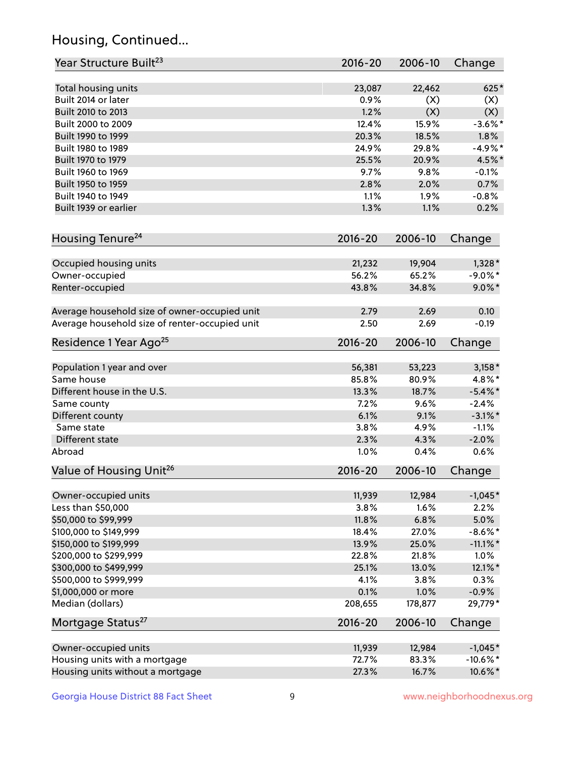## Housing, Continued...

| Year Structure Built <sup>23</sup>             | 2016-20     | 2006-10 | Change      |
|------------------------------------------------|-------------|---------|-------------|
| Total housing units                            | 23,087      | 22,462  | 625*        |
| Built 2014 or later                            | 0.9%        | (X)     | (X)         |
| Built 2010 to 2013                             | 1.2%        | (X)     | (X)         |
| Built 2000 to 2009                             | 12.4%       | 15.9%   | $-3.6\%$ *  |
| Built 1990 to 1999                             | 20.3%       | 18.5%   | 1.8%        |
| Built 1980 to 1989                             | 24.9%       | 29.8%   | $-4.9%$ *   |
| Built 1970 to 1979                             | 25.5%       | 20.9%   | 4.5%*       |
| Built 1960 to 1969                             | 9.7%        | 9.8%    | $-0.1%$     |
| Built 1950 to 1959                             | 2.8%        | 2.0%    | 0.7%        |
| Built 1940 to 1949                             | 1.1%        | 1.9%    | $-0.8%$     |
| Built 1939 or earlier                          | 1.3%        | 1.1%    | 0.2%        |
| Housing Tenure <sup>24</sup>                   | $2016 - 20$ | 2006-10 | Change      |
|                                                |             |         |             |
| Occupied housing units                         | 21,232      | 19,904  | $1,328*$    |
| Owner-occupied                                 | 56.2%       | 65.2%   | $-9.0\%$ *  |
| Renter-occupied                                | 43.8%       | 34.8%   | $9.0\%$ *   |
| Average household size of owner-occupied unit  | 2.79        | 2.69    | 0.10        |
| Average household size of renter-occupied unit | 2.50        | 2.69    | $-0.19$     |
| Residence 1 Year Ago <sup>25</sup>             | $2016 - 20$ | 2006-10 | Change      |
| Population 1 year and over                     | 56,381      | 53,223  | $3,158*$    |
| Same house                                     | 85.8%       | 80.9%   | 4.8%*       |
| Different house in the U.S.                    | 13.3%       | 18.7%   | $-5.4\%$ *  |
| Same county                                    | 7.2%        | 9.6%    | $-2.4%$     |
| Different county                               | 6.1%        | 9.1%    | $-3.1\%$ *  |
| Same state                                     | 3.8%        | 4.9%    | $-1.1%$     |
| Different state                                | 2.3%        | 4.3%    | $-2.0%$     |
| Abroad                                         | 1.0%        | 0.4%    | 0.6%        |
| Value of Housing Unit <sup>26</sup>            | $2016 - 20$ | 2006-10 | Change      |
| Owner-occupied units                           | 11,939      | 12,984  | $-1,045*$   |
| Less than \$50,000                             | 3.8%        | 1.6%    | 2.2%        |
| \$50,000 to \$99,999                           | 11.8%       | 6.8%    | 5.0%        |
| \$100,000 to \$149,999                         | 18.4%       | 27.0%   | $-8.6\%$ *  |
| \$150,000 to \$199,999                         | 13.9%       | 25.0%   | $-11.1\%$ * |
| \$200,000 to \$299,999                         | 22.8%       | 21.8%   | 1.0%        |
| \$300,000 to \$499,999                         | 25.1%       | 13.0%   | 12.1%*      |
| \$500,000 to \$999,999                         | 4.1%        | 3.8%    | 0.3%        |
| \$1,000,000 or more                            | 0.1%        | 1.0%    | $-0.9%$     |
| Median (dollars)                               | 208,655     | 178,877 | 29,779*     |
| Mortgage Status <sup>27</sup>                  | $2016 - 20$ | 2006-10 | Change      |
|                                                |             |         |             |
| Owner-occupied units                           | 11,939      | 12,984  | $-1,045*$   |
| Housing units with a mortgage                  | 72.7%       | 83.3%   | $-10.6\%$ * |
| Housing units without a mortgage               | 27.3%       | 16.7%   | 10.6%*      |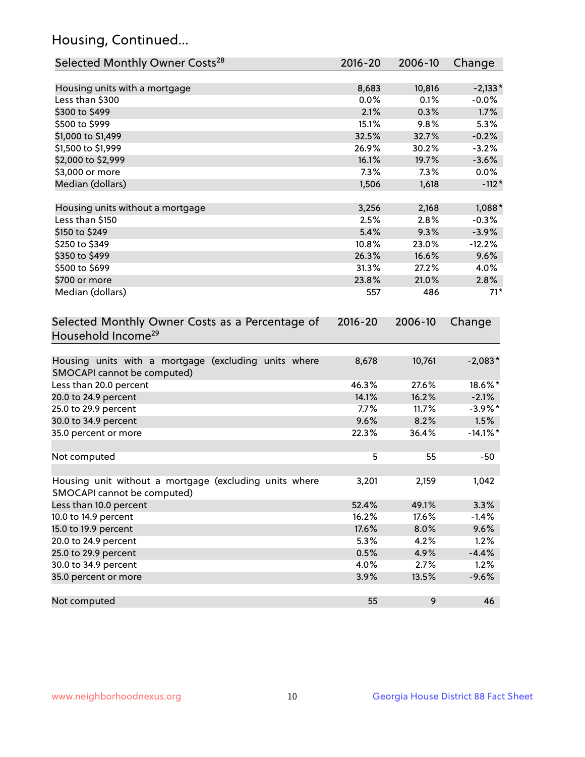## Housing, Continued...

| Selected Monthly Owner Costs <sup>28</sup>                                            | 2016-20 | 2006-10 | Change      |
|---------------------------------------------------------------------------------------|---------|---------|-------------|
| Housing units with a mortgage                                                         | 8,683   | 10,816  | $-2,133*$   |
| Less than \$300                                                                       | 0.0%    | 0.1%    | $-0.0%$     |
| \$300 to \$499                                                                        | 2.1%    | 0.3%    | 1.7%        |
| \$500 to \$999                                                                        | 15.1%   | 9.8%    | 5.3%        |
| \$1,000 to \$1,499                                                                    | 32.5%   | 32.7%   | $-0.2%$     |
| \$1,500 to \$1,999                                                                    | 26.9%   | 30.2%   | $-3.2%$     |
| \$2,000 to \$2,999                                                                    | 16.1%   | 19.7%   | $-3.6%$     |
| \$3,000 or more                                                                       | 7.3%    | 7.3%    | 0.0%        |
| Median (dollars)                                                                      | 1,506   | 1,618   | $-112*$     |
| Housing units without a mortgage                                                      | 3,256   | 2,168   | $1,088*$    |
| Less than \$150                                                                       | 2.5%    | 2.8%    | $-0.3%$     |
| \$150 to \$249                                                                        | 5.4%    | 9.3%    | $-3.9%$     |
| \$250 to \$349                                                                        | 10.8%   | 23.0%   | $-12.2%$    |
| \$350 to \$499                                                                        | 26.3%   | 16.6%   | 9.6%        |
| \$500 to \$699                                                                        | 31.3%   | 27.2%   | 4.0%        |
| \$700 or more                                                                         | 23.8%   | 21.0%   | 2.8%        |
| Median (dollars)                                                                      | 557     | 486     | $71*$       |
| Selected Monthly Owner Costs as a Percentage of<br>Household Income <sup>29</sup>     |         |         | Change      |
| Housing units with a mortgage (excluding units where<br>SMOCAPI cannot be computed)   | 8,678   | 10,761  | $-2,083*$   |
| Less than 20.0 percent                                                                | 46.3%   | 27.6%   | 18.6%*      |
| 20.0 to 24.9 percent                                                                  | 14.1%   | 16.2%   | $-2.1%$     |
| 25.0 to 29.9 percent                                                                  | 7.7%    | 11.7%   | $-3.9\%$ *  |
| 30.0 to 34.9 percent                                                                  | 9.6%    | 8.2%    | 1.5%        |
| 35.0 percent or more                                                                  | 22.3%   | 36.4%   | $-14.1\%$ * |
| Not computed                                                                          | 5       | 55      | $-50$       |
| Housing unit without a mortgage (excluding units where<br>SMOCAPI cannot be computed) | 3,201   | 2,159   | 1,042       |
| Less than 10.0 percent                                                                | 52.4%   | 49.1%   | 3.3%        |
| 10.0 to 14.9 percent                                                                  | 16.2%   | 17.6%   | $-1.4%$     |
| 15.0 to 19.9 percent                                                                  | 17.6%   | 8.0%    | 9.6%        |
| 20.0 to 24.9 percent                                                                  | 5.3%    | 4.2%    | 1.2%        |
| 25.0 to 29.9 percent                                                                  | 0.5%    | 4.9%    | $-4.4%$     |
| 30.0 to 34.9 percent                                                                  | 4.0%    | 2.7%    | 1.2%        |
| 35.0 percent or more                                                                  | 3.9%    | 13.5%   | $-9.6%$     |
| Not computed                                                                          | 55      | 9       | 46          |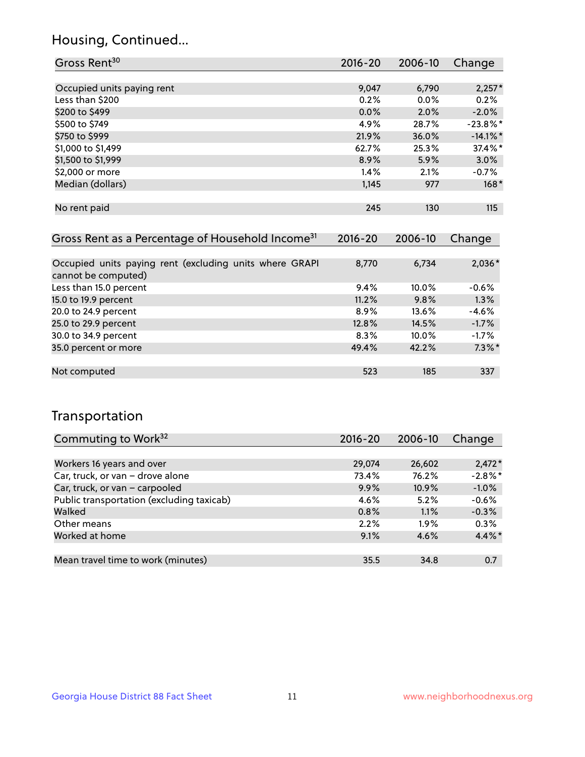## Housing, Continued...

| Gross Rent <sup>30</sup>   | 2016-20 | 2006-10 | Change      |
|----------------------------|---------|---------|-------------|
|                            |         |         |             |
| Occupied units paying rent | 9,047   | 6,790   | $2,257*$    |
| Less than \$200            | 0.2%    | $0.0\%$ | 0.2%        |
| \$200 to \$499             | 0.0%    | 2.0%    | $-2.0%$     |
| \$500 to \$749             | 4.9%    | 28.7%   | $-23.8%$ *  |
| \$750 to \$999             | 21.9%   | 36.0%   | $-14.1\%$ * |
| \$1,000 to \$1,499         | 62.7%   | 25.3%   | 37.4%*      |
| \$1,500 to \$1,999         | 8.9%    | 5.9%    | 3.0%        |
| \$2,000 or more            | 1.4%    | 2.1%    | $-0.7%$     |
| Median (dollars)           | 1,145   | 977     | $168*$      |
|                            |         |         |             |
| No rent paid               | 245     | 130     | 115         |
|                            |         |         |             |

| Gross Rent as a Percentage of Household Income <sup>31</sup>                   | $2016 - 20$ | 2006-10  | Change    |
|--------------------------------------------------------------------------------|-------------|----------|-----------|
|                                                                                |             |          |           |
| Occupied units paying rent (excluding units where GRAPI<br>cannot be computed) | 8,770       | 6,734    | $2,036*$  |
| Less than 15.0 percent                                                         | 9.4%        | 10.0%    | $-0.6%$   |
| 15.0 to 19.9 percent                                                           | 11.2%       | 9.8%     | 1.3%      |
| 20.0 to 24.9 percent                                                           | $8.9\%$     | $13.6\%$ | $-4.6%$   |
| 25.0 to 29.9 percent                                                           | 12.8%       | 14.5%    | $-1.7%$   |
| 30.0 to 34.9 percent                                                           | 8.3%        | 10.0%    | $-1.7\%$  |
| 35.0 percent or more                                                           | 49.4%       | 42.2%    | $7.3\%$ * |
|                                                                                |             |          |           |
| Not computed                                                                   | 523         | 185      | 337       |

## Transportation

| Commuting to Work <sup>32</sup>           | 2016-20 | 2006-10 | Change     |
|-------------------------------------------|---------|---------|------------|
|                                           |         |         |            |
| Workers 16 years and over                 | 29,074  | 26,602  | $2,472*$   |
| Car, truck, or van - drove alone          | 73.4%   | 76.2%   | $-2.8\%$ * |
| Car, truck, or van - carpooled            | 9.9%    | 10.9%   | $-1.0%$    |
| Public transportation (excluding taxicab) | 4.6%    | 5.2%    | $-0.6%$    |
| Walked                                    | 0.8%    | 1.1%    | $-0.3%$    |
| Other means                               | 2.2%    | $1.9\%$ | 0.3%       |
| Worked at home                            | 9.1%    | 4.6%    | 4.4%*      |
|                                           |         |         |            |
| Mean travel time to work (minutes)        | 35.5    | 34.8    | 0.7        |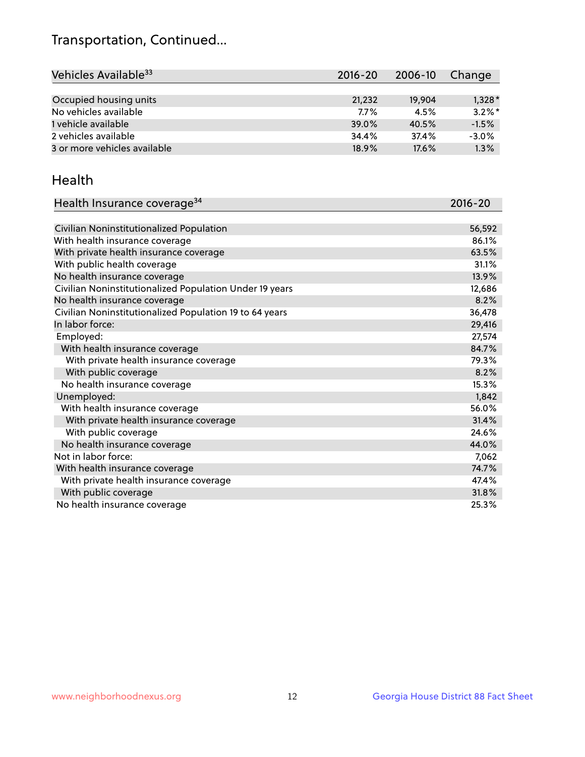## Transportation, Continued...

| Vehicles Available <sup>33</sup> | 2016-20 | 2006-10 | Change    |
|----------------------------------|---------|---------|-----------|
|                                  |         |         |           |
| Occupied housing units           | 21,232  | 19.904  | $1,328*$  |
| No vehicles available            | 7.7%    | 4.5%    | $3.2\%$ * |
| 1 vehicle available              | 39.0%   | 40.5%   | $-1.5%$   |
| 2 vehicles available             | 34.4%   | 37.4%   | $-3.0%$   |
| 3 or more vehicles available     | 18.9%   | 17.6%   | 1.3%      |

#### Health

| Health Insurance coverage <sup>34</sup>                 | 2016-20 |
|---------------------------------------------------------|---------|
|                                                         |         |
| Civilian Noninstitutionalized Population                | 56,592  |
| With health insurance coverage                          | 86.1%   |
| With private health insurance coverage                  | 63.5%   |
| With public health coverage                             | 31.1%   |
| No health insurance coverage                            | 13.9%   |
| Civilian Noninstitutionalized Population Under 19 years | 12,686  |
| No health insurance coverage                            | 8.2%    |
| Civilian Noninstitutionalized Population 19 to 64 years | 36,478  |
| In labor force:                                         | 29,416  |
| Employed:                                               | 27,574  |
| With health insurance coverage                          | 84.7%   |
| With private health insurance coverage                  | 79.3%   |
| With public coverage                                    | 8.2%    |
| No health insurance coverage                            | 15.3%   |
| Unemployed:                                             | 1,842   |
| With health insurance coverage                          | 56.0%   |
| With private health insurance coverage                  | 31.4%   |
| With public coverage                                    | 24.6%   |
| No health insurance coverage                            | 44.0%   |
| Not in labor force:                                     | 7,062   |
| With health insurance coverage                          | 74.7%   |
| With private health insurance coverage                  | 47.4%   |
| With public coverage                                    | 31.8%   |
| No health insurance coverage                            | 25.3%   |